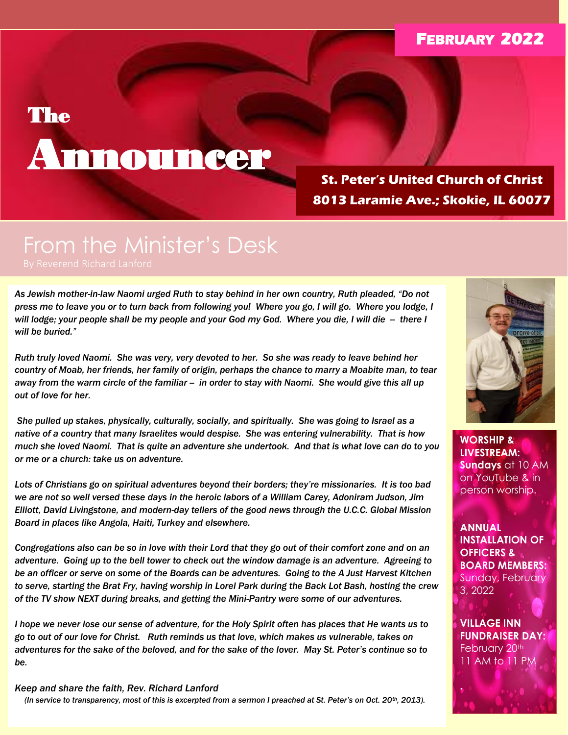# **FEBRUARY 2022**

# **The**

# Announcer

**St. Peter's United Church of Christ 8013 Laramie Ave.; Skokie, IL 60077**

# From the Minister's Desk

*As Jewish mother-in-law Naomi urged Ruth to stay behind in her own country, Ruth pleaded, "Do not press me to leave you or to turn back from following you! Where you go, I will go. Where you lodge, I will lodge; your people shall be my people and your God my God. Where you die, I will die -- there I will be buried."*

*Ruth truly loved Naomi. She was very, very devoted to her. So she was ready to leave behind her country of Moab, her friends, her family of origin, perhaps the chance to marry a Moabite man, to tear away from the warm circle of the familiar -- in order to stay with Naomi. She would give this all up out of love for her.*

*She pulled up stakes, physically, culturally, socially, and spiritually. She was going to Israel as a native of a country that many Israelites would despise. She was entering vulnerability. That is how much she loved Naomi. That is quite an adventure she undertook. And that is what love can do to you or me or a church: take us on adventure.*

*Lots of Christians go on spiritual adventures beyond their borders; they're missionaries. It is too bad we are not so well versed these days in the heroic labors of a William Carey, Adoniram Judson, Jim Elliott, David Livingstone, and modern-day tellers of the good news through the U.C.C. Global Mission Board in places like Angola, Haiti, Turkey and elsewhere.* 

*Congregations also can be so in love with their Lord that they go out of their comfort zone and on an adventure. Going up to the bell tower to check out the window damage is an adventure. Agreeing to be an officer or serve on some of the Boards can be adventures. Going to the A Just Harvest Kitchen to serve, starting the Brat Fry, having worship in Lorel Park during the Back Lot Bash, hosting the crew of the TV show NEXT during breaks, and getting the Mini-Pantry were some of our adventures.* 

*I hope we never lose our sense of adventure, for the Holy Spirit often has places that He wants us to go to out of our love for Christ. Ruth reminds us that love, which makes us vulnerable, takes on adventures for the sake of the beloved, and for the sake of the lover. May St. Peter's continue so to be.*

#### **Keep and share the faith, Rev. Richard Lanford**

*(In service to transparency, most of this is excerpted from a sermon I preached at St. Peter's on Oct. 20th, 2013).).*



**WORSHIP & LIVESTREAM: Sundays** at 10 AM on YouTube & in person worship.

**ANNUAL INSTALLATION OF OFFICERS & BOARD MEMBERS:**  Sunday, February 3, 2022

**VILLAGE INN FUNDRAISER DAY:** February 20<sup>th</sup> 11 AM to 11 PM

**.**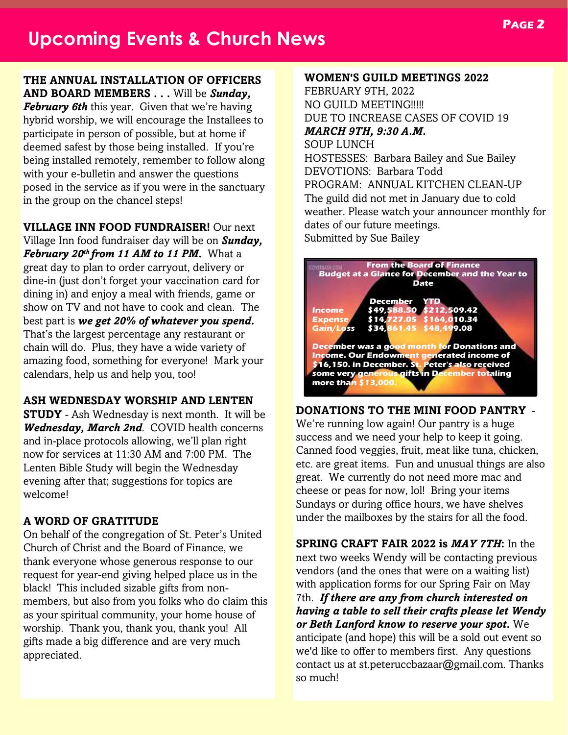**THE ANNUAL INSTALLATION OF OFFICERS AND BOARD MEMBERS . . .** Will be *Sunday,* 

*February 6th* this year. Given that we're having hybrid worship, we will encourage the Installees to participate in person of possible, but at home if deemed safest by those being installed. If you're being installed remotely, remember to follow along with your e-bulletin and answer the questions posed in the service as if you were in the sanctuary in the group on the chancel steps!

**VILLAGE INN FOOD FUNDRAISER!** Our next

Village Inn food fundraiser day will be on *Sunday, February 20th from 11 AM to 11 PM.* What a great day to plan to order carryout, delivery or dine-in (just don't forget your vaccination card for dining in) and enjoy a meal with friends, game or show on TV and not have to cook and clean. The best part is *we get 20% of whatever you spend***.** That's the largest percentage any restaurant or chain will do. Plus, they have a wide variety of amazing food, something for everyone! Mark your calendars, help us and help you, too!

# **ASH WEDNESDAY WORSHIP AND LENTEN**

**STUDY** - Ash Wednesday is next month. It will be *Wednesday, March 2nd*. COVID health concerns and in-place protocols allowing, we'll plan right now for services at 11:30 AM and 7:00 PM. The Lenten Bible Study will begin the Wednesday evening after that; suggestions for topics are welcome!

# **A WORD OF GRATITUDE**

On behalf of the congregation of St. Peter's United Church of Christ and the Board of Finance, we thank everyone whose generous response to our request for year-end giving helped place us in the black! This included sizable gifts from nonmembers, but also from you folks who do claim this as your spiritual community, your home house of worship. Thank you, thank you, thank you! All gifts made a big difference and are very much appreciated.

#### **WOMEN'S GUILD MEETINGS 2022**

FEBRUARY 9TH, 2022 NO GUILD MEETING!!!!! DUE TO INCREASE CASES OF COVID 19 *MARCH 9TH, 9:30 A.M.* SOUP LUNCH HOSTESSES: Barbara Bailey and Sue Bailey DEVOTIONS: Barbara Todd PROGRAM: ANNUAL KITCHEN CLEAN-UP The guild did not met in January due to cold weather. Please watch your announcer monthly for dates of our future meetings. Submitted by Sue Bailey



#### **DONATIONS TO THE MINI FOOD PANTRY** -

We're running low again! Our pantry is a huge success and we need your help to keep it going. Canned food veggies, fruit, meat like tuna, chicken, etc. are great items. Fun and unusual things are also great. We currently do not need more mac and cheese or peas for now, lol! Bring your items Sundays or during office hours, we have shelves under the mailboxes by the stairs for all the food.

**SPRING CRAFT FAIR 2022 is** *MAY 7TH***:** In the next two weeks Wendy will be contacting previous vendors (and the ones that were on a waiting list) with application forms for our Spring Fair on May 7th. *If there are any from church interested on having a table to sell their crafts please let Wendy or Beth Lanford know to reserve your spot.* We anticipate (and hope) this will be a sold out event so we'd like to offer to members first. Any questions contact us at st.peteruccbazaar@gmail.com. Thanks so much!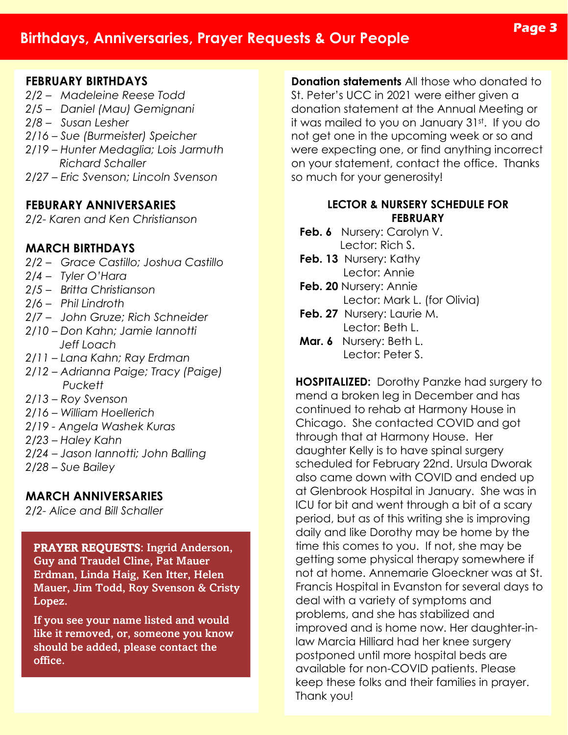# **Birthdays, Anniversaries, Prayer Requests & Our People**

# **Page 3**

## **FEBRUARY BIRTHDAYS**

- *2/2 – Madeleine Reese Todd*
- *2/5 – Daniel (Mau) Gemignani*
- *2/8 – Susan Lesher*
- *2/16 – Sue (Burmeister) Speicher*
- *2/19 – Hunter Medaglia; Lois Jarmuth Richard Schaller*
- *2/27 – Eric Svenson; Lincoln Svenson*

# **FEBURARY ANNIVERSARIES**

*2/2- Karen and Ken Christianson*

# **MARCH BIRTHDAYS**

- *2/2 – Grace Castillo; Joshua Castillo*
- *2/4 – Tyler O'Hara*
- *2/5 – Britta Christianson*
- *2/6 – Phil Lindroth*
- *2/7 – John Gruze; Rich Schneider*
- *2/10 – Don Kahn; Jamie Iannotti Jeff Loach*
- *2/11 – Lana Kahn; Ray Erdman*
- *2/12 – Adrianna Paige; Tracy (Paige) Puckett*
- *2/13 – Roy Svenson*
- *2/16 – William Hoellerich*
- *2/19 - Angela Washek Kuras*
- *2/23 – Haley Kahn*
- *2/24 – Jason Iannotti; John Balling*
- *2/28 – Sue Bailey*

# **MARCH ANNIVERSARIES**

*2/2- Alice and Bill Schaller*

# PRAYER REQUESTS: Ingrid Anderson,

Guy and Traudel Cline, Pat Mauer Erdman, Linda Haig, Ken Itter, Helen Mauer, Jim Todd, Roy Svenson & Cristy Lopez.

If you see your name listed and would like it removed, or, someone you know should be added, please contact the office.

**Donation statements** All those who donated to St. Peter's UCC in 2021 were either given a donation statement at the Annual Meeting or it was mailed to you on January 31st. If you do not get one in the upcoming week or so and were expecting one, or find anything incorrect on your statement, contact the office. Thanks so much for your generosity!

## **LECTOR & NURSERY SCHEDULE FOR FEBRUARY**

- **Feb. 6** Nursery: Carolyn V. Lector: Rich S.
- Feb. 13 Nursery: Kathy Lector: Annie
- **Feb. 20** Nursery: Annie Lector: Mark L. (for Olivia)
- **Feb. 27** Nursery: Laurie M. Lector: Beth L.
- **Mar. 6** Nursery: Beth L. Lector: Peter S.

**HOSPITALIZED:** Dorothy Panzke had surgery to mend a broken leg in December and has continued to rehab at Harmony House in Chicago. She contacted COVID and got through that at Harmony House. Her daughter Kelly is to have spinal surgery scheduled for February 22nd. Ursula Dworak also came down with COVID and ended up at Glenbrook Hospital in January. She was in ICU for bit and went through a bit of a scary period, but as of this writing she is improving daily and like Dorothy may be home by the time this comes to you. If not, she may be getting some physical therapy somewhere if not at home. Annemarie Gloeckner was at St. Francis Hospital in Evanston for several days to deal with a variety of symptoms and problems, and she has stabilized and improved and is home now. Her daughter-inlaw Marcia Hilliard had her knee surgery postponed until more hospital beds are available for non-COVID patients. Please keep these folks and their families in prayer. Thank you!